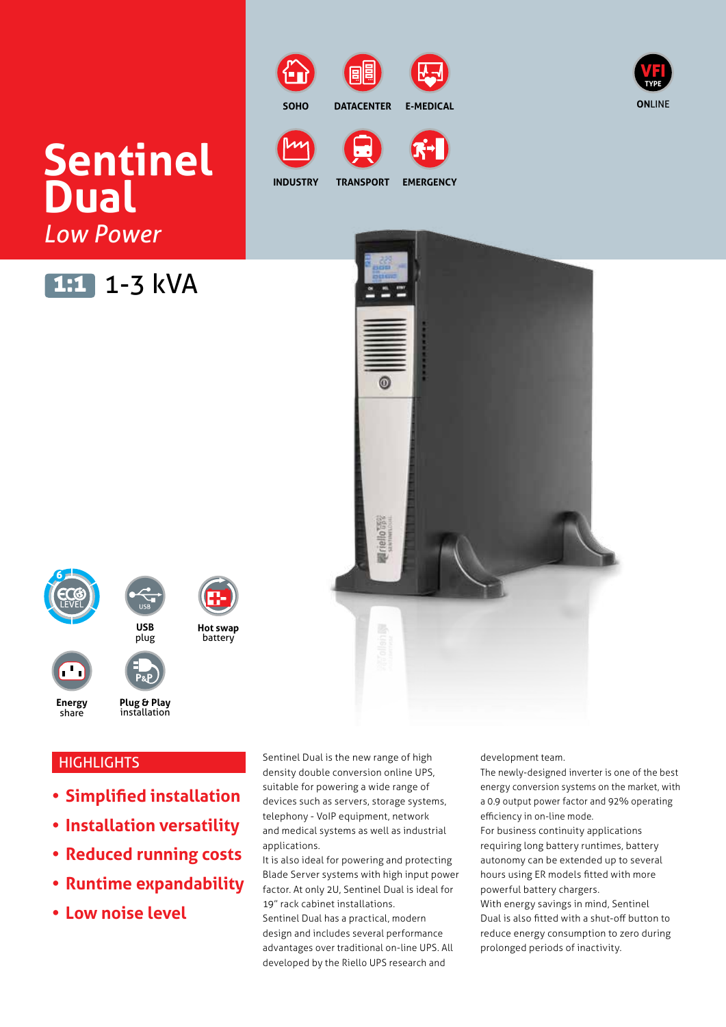# **Sentinel Dual** *Low Power*

# 1:1 1-3 kVA



**EMERGENCY**



# **HIGHLIGHTS**

- **• Simplified installation**
- **• Installation versatility**
- **• Reduced running costs**
- **• Runtime expandability**
- **• Low noise level**

Sentinel Dual is the new range of high density double conversion online UPS, suitable for powering a wide range of devices such as servers, storage systems, telephony - VoIP equipment, network and medical systems as well as industrial applications.

It is also ideal for powering and protecting Blade Server systems with high input power factor. At only 2U, Sentinel Dual is ideal for 19" rack cabinet installations.

Sentinel Dual has a practical, modern design and includes several performance advantages over traditional on-line UPS. All developed by the Riello UPS research and

development team.

The newly-designed inverter is one of the best energy conversion systems on the market, with a 0.9 output power factor and 92% operating efficiency in on-line mode.

For business continuity applications requiring long battery runtimes, battery autonomy can be extended up to several hours using ER models fitted with more powerful battery chargers.

With energy savings in mind, Sentinel Dual is also fitted with a shut-off button to reduce energy consumption to zero during prolonged periods of inactivity.





**SOHO DATACENTER E-MEDICAL**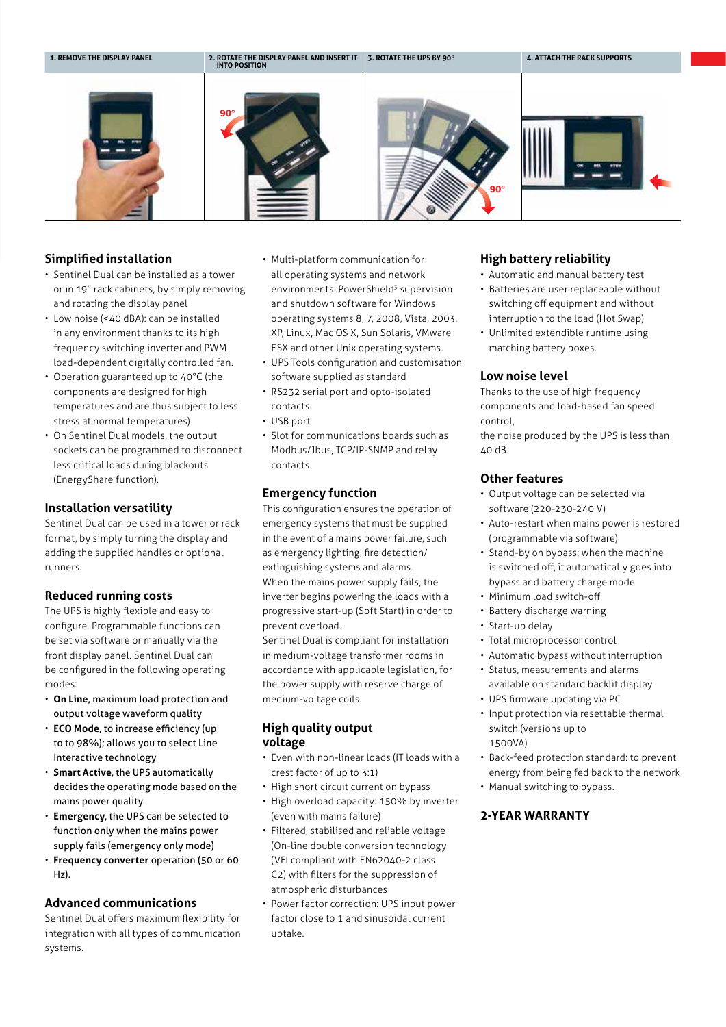

#### **Simplified installation**

- Sentinel Dual can be installed as a tower or in 19" rack cabinets, by simply removing and rotating the display panel
- Low noise (<40 dBA): can be installed in any environment thanks to its high frequency switching inverter and PWM load-dependent digitally controlled fan.
- Operation guaranteed up to 40°C (the components are designed for high temperatures and are thus subject to less stress at normal temperatures)
- On Sentinel Dual models, the output sockets can be programmed to disconnect less critical loads during blackouts (EnergyShare function).

#### **Installation versatility**

Sentinel Dual can be used in a tower or rack format, by simply turning the display and adding the supplied handles or optional runners.

#### **Reduced running costs**

The UPS is highly flexible and easy to configure. Programmable functions can be set via software or manually via the front display panel. Sentinel Dual can be configured in the following operating modes:

- **On Line**, maximum load protection and output voltage waveform quality
- **ECO Mode**, to increase efficiency (up to to 98%); allows you to select Line Interactive technology
- **Smart Active**, the UPS automatically decides the operating mode based on the mains power quality
- **Emergency**, the UPS can be selected to function only when the mains power supply fails (emergency only mode)
- **Frequency converter** operation (50 or 60 Hz).

#### **Advanced communications**

Sentinel Dual offers maximum flexibility for integration with all types of communication systems.

- Multi-platform communication for all operating systems and network environments: PowerShield<sup>3</sup> supervision and shutdown software for Windows operating systems 8, 7, 2008, Vista, 2003, XP, Linux, Mac OS X, Sun Solaris, VMware ESX and other Unix operating systems.
- UPS Tools configuration and customisation software supplied as standard
- RS232 serial port and opto-isolated contacts
- USB port
- Slot for communications boards such as Modbus/Jbus, TCP/IP-SNMP and relay contacts.

#### **Emergency function**

This configuration ensures the operation of emergency systems that must be supplied in the event of a mains power failure, such as emergency lighting, fire detection/ extinguishing systems and alarms. When the mains power supply fails, the inverter begins powering the loads with a progressive start-up (Soft Start) in order to prevent overload.

Sentinel Dual is compliant for installation in medium-voltage transformer rooms in accordance with applicable legislation, for the power supply with reserve charge of medium-voltage coils.

#### **High quality output voltage**

- Even with non-linear loads (IT loads with a crest factor of up to 3:1)
- High short circuit current on bypass
- High overload capacity: 150% by inverter (even with mains failure)
- Filtered, stabilised and reliable voltage (On-line double conversion technology (VFI compliant with EN62040-2 class C2) with filters for the suppression of atmospheric disturbances
- Power factor correction: UPS input power factor close to 1 and sinusoidal current uptake.

#### **High battery reliability**

- Automatic and manual battery test
- Batteries are user replaceable without switching off equipment and without interruption to the load (Hot Swap)
- Unlimited extendible runtime using matching battery boxes.

#### **Low noise level**

Thanks to the use of high frequency components and load-based fan speed control,

the noise produced by the UPS is less than 40 dB.

#### **Other features**

- Output voltage can be selected via software (220-230-240 V)
- Auto-restart when mains power is restored (programmable via software)
- Stand-by on bypass: when the machine is switched off, it automatically goes into bypass and battery charge mode
- Minimum load switch-off
- Battery discharge warning
- Start-up delay
- Total microprocessor control
- Automatic bypass without interruption
- Status, measurements and alarms
- available on standard backlit display
- UPS firmware updating via PC
- Input protection via resettable thermal switch (versions up to 1500VA)
- Back-feed protection standard: to prevent energy from being fed back to the network
- Manual switching to bypass.

#### **2-YEAR WARRANTY**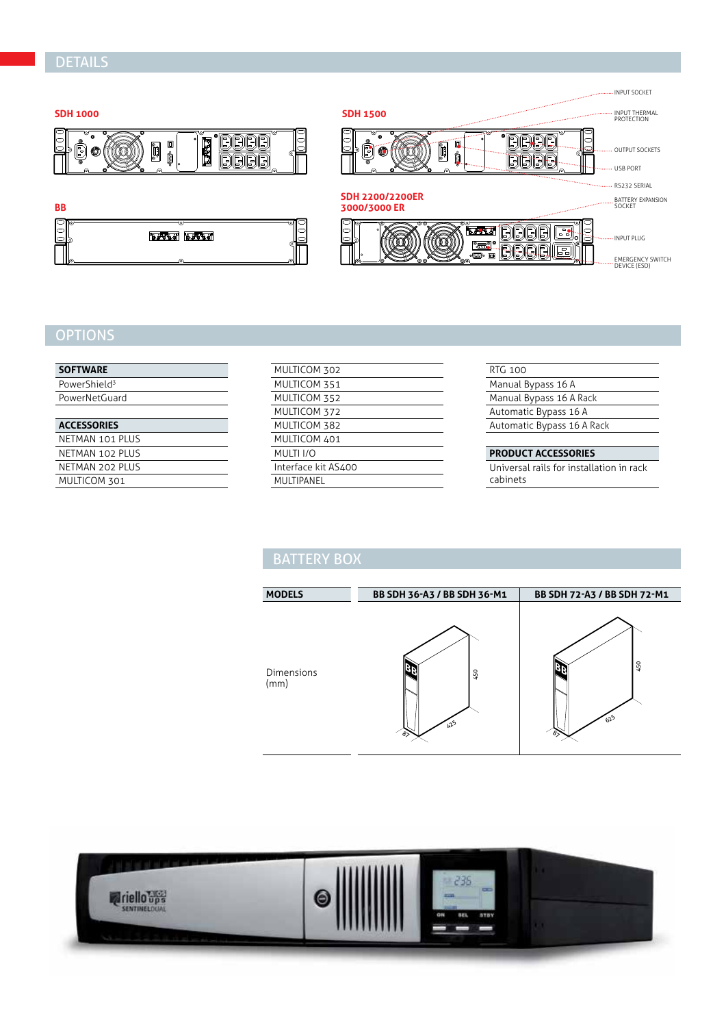## DETAILS



## **OPTIONS**

MULTICOM 301

| <b>SOFTWARE</b>          |
|--------------------------|
| PowerShield <sup>3</sup> |
| PowerNetGuard            |
|                          |
|                          |
| <b>ACCESSORIES</b>       |
| NFTMAN 101 PLUS          |
| NFTMAN 102 PLUS          |

| MULTICOM 302        |
|---------------------|
| MULTICOM 351        |
| MULTICOM 352        |
| MULTICOM 372        |
| MULTICOM 382        |
| MULTICOM 401        |
| MULTI I/O           |
| Interface kit AS400 |
| MULTIPANEL          |
|                     |

| <b>RTG 100</b>             |
|----------------------------|
| Manual Bypass 16 A         |
| Manual Bypass 16 A Rack    |
| Automatic Bypass 16 A      |
| Automatic Bypass 16 A Rack |
|                            |

#### **PRODUCT ACCESSORIES**

Universal rails for installation in rack cabinets

# **BATTERY BOX**